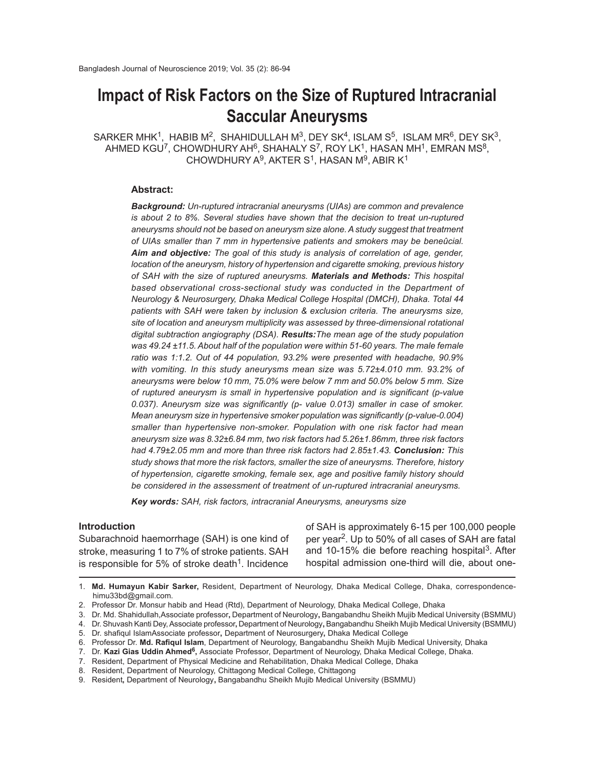# **Impact of Risk Factors on the Size of Ruptured Intracranial Saccular Aneurysms**

 $\mathsf{SARKER}\,\mathsf{MHK^1},\ \mathsf{HABIB}\,\mathsf{M^2},\ \mathsf{SHAHIDULLAH}\,\mathsf{M^3},\ \mathsf{DEF}\ \mathsf{SK^4},\ \mathsf{ISLAM}\ \mathsf{S^5},\ \mathsf{ISLAM}\ \mathsf{MR^6},\ \mathsf{DEF}\ \mathsf{SK^3},$ AHMED KGU<sup>7</sup>, CHOWDHURY AH<sup>6</sup>, SHAHALY S<sup>7</sup>, ROY LK<sup>1</sup>, HASAN MH<sup>1</sup>, EMRAN MS<sup>8</sup>, CHOWDHURY A $9$ , AKTER S<sup>1</sup>, HASAN M $9$ , ABIR K $1$ 

#### **Abstract:**

*Background: Un-ruptured intracranial aneurysms (UIAs) are common and prevalence is about 2 to 8%. Several studies have shown that the decision to treat un-ruptured aneurysms should not be based on aneurysm size alone. A study suggest that treatment of UIAs smaller than 7 mm in hypertensive patients and smokers may be beneûcial. Aim and objective: The goal of this study is analysis of correlation of age, gender, location of the aneurysm, history of hypertension and cigarette smoking, previous history of SAH with the size of ruptured aneurysms. Materials and Methods: This hospital based observational cross-sectional study was conducted in the Department of Neurology & Neurosurgery, Dhaka Medical College Hospital (DMCH), Dhaka. Total 44 patients with SAH were taken by inclusion & exclusion criteria. The aneurysms size, site of location and aneurysm multiplicity was assessed by three-dimensional rotational digital subtraction angiography (DSA). Results:The mean age of the study population was 49.24 ±11.5. About half of the population were within 51-60 years. The male female ratio was 1:1.2. Out of 44 population, 93.2% were presented with headache, 90.9% with vomiting. In this study aneurysms mean size was 5.72±4.010 mm. 93.2% of aneurysms were below 10 mm, 75.0% were below 7 mm and 50.0% below 5 mm. Size of ruptured aneurysm is small in hypertensive population and is significant (p-value 0.037). Aneurysm size was significantly (p- value 0.013) smaller in case of smoker. Mean aneurysm size in hypertensive smoker population was significantly (p-value-0.004) smaller than hypertensive non-smoker. Population with one risk factor had mean aneurysm size was 8.32±6.84 mm, two risk factors had 5.26±1.86mm, three risk factors had 4.79±2.05 mm and more than three risk factors had 2.85±1.43. Conclusion: This study shows that more the risk factors, smaller the size of aneurysms. Therefore, history of hypertension, cigarette smoking, female sex, age and positive family history should be considered in the assessment of treatment of un-ruptured intracranial aneurysms.*

*Key words: SAH, risk factors, intracranial Aneurysms, aneurysms size*

#### **Introduction**

Subarachnoid haemorrhage (SAH) is one kind of stroke, measuring 1 to 7% of stroke patients. SAH is responsible for 5% of stroke death<sup>1</sup>. Incidence

of SAH is approximately 6-15 per 100,000 people per year<sup>2</sup>. Up to 50% of all cases of SAH are fatal and 10-15% die before reaching hospital<sup>3</sup>. After hospital admission one-third will die, about one-

1. **Md. Humayun Kabir Sarker,** Resident, Department of Neurology, Dhaka Medical College, Dhaka, correspondencehimu33bd@gmail.com.

<sup>2.</sup> Professor Dr. Monsur habib and Head (Rtd), Department of Neurology, Dhaka Medical College, Dhaka

<sup>3.</sup> Dr. Md. Shahidullah,Associate professor**,** Department of Neurology**,** Bangabandhu Sheikh Mujib Medical University (BSMMU)

<sup>4.</sup> Dr. Shuvash Kanti Dey, Associate professor**,** Department of Neurology**,** Bangabandhu Sheikh Mujib Medical University (BSMMU)

<sup>5.</sup> Dr. shafiqul IslamAssociate professor**,** Department of Neurosurgery**,** Dhaka Medical College

<sup>6.</sup> Professor Dr. **Md. Rafiqul Islam**, Department of Neurology, Bangabandhu Sheikh Mujib Medical University, Dhaka

<sup>7.</sup> Dr. **Kazi Gias Uddin Ahmed<sup>6</sup>,** Associate Professor, Department of Neurology, Dhaka Medical College, Dhaka.

<sup>7.</sup> Resident, Department of Physical Medicine and Rehabilitation, Dhaka Medical College, Dhaka

<sup>8.</sup> Resident, Department of Neurology, Chittagong Medical College, Chittagong

<sup>9.</sup> Resident**,** Department of Neurology**,** Bangabandhu Sheikh Mujib Medical University (BSMMU)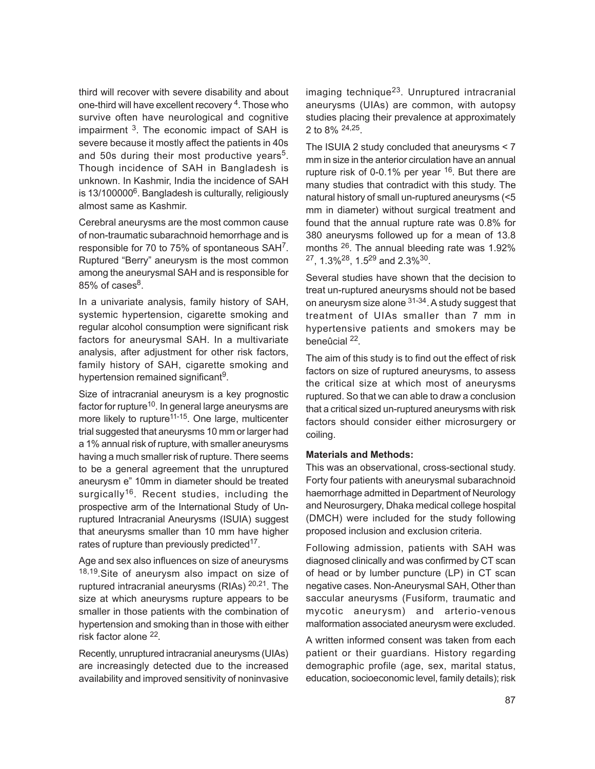third will recover with severe disability and about one-third will have excellent recovery <sup>4</sup>. Those who survive often have neurological and cognitive impairment <sup>3</sup>. The economic impact of SAH is severe because it mostly affect the patients in 40s and 50s during their most productive years<sup>5</sup>. Though incidence of SAH in Bangladesh is unknown. In Kashmir, India the incidence of SAH is 13/100000<sup>6</sup>. Bangladesh is culturally, religiously almost same as Kashmir.

Cerebral aneurysms are the most common cause of non-traumatic subarachnoid hemorrhage and is responsible for 70 to 75% of spontaneous SAH<sup>7</sup>. Ruptured "Berry" aneurysm is the most common among the aneurysmal SAH and is responsible for 85% of cases $^8$ .

In a univariate analysis, family history of SAH, systemic hypertension, cigarette smoking and regular alcohol consumption were significant risk factors for aneurysmal SAH. In a multivariate analysis, after adjustment for other risk factors, family history of SAH, cigarette smoking and hypertension remained significant<sup>9</sup>.

Size of intracranial aneurysm is a key prognostic factor for rupture<sup>10</sup>. In general large aneurysms are more likely to rupture<sup>11-15</sup>. One large, multicenter trial suggested that aneurysms 10 mm or larger had a 1% annual risk of rupture, with smaller aneurysms having a much smaller risk of rupture. There seems to be a general agreement that the unruptured aneurysm e" 10mm in diameter should be treated surgically<sup>16</sup>. Recent studies, including the prospective arm of the International Study of Unruptured Intracranial Aneurysms (ISUIA) suggest that aneurysms smaller than 10 mm have higher rates of rupture than previously predicted<sup>17</sup>.

Age and sex also influences on size of aneurysms 18,19. Site of aneurysm also impact on size of ruptured intracranial aneurysms (RIAs) <sup>20,21</sup>. The size at which aneurysms rupture appears to be smaller in those patients with the combination of hypertension and smoking than in those with either risk factor alone <sup>22</sup>.

Recently, unruptured intracranial aneurysms (UIAs) are increasingly detected due to the increased availability and improved sensitivity of noninvasive imaging technique<sup>23</sup>. Unruptured intracranial aneurysms (UIAs) are common, with autopsy studies placing their prevalence at approximately 2 to 8% <sup>24,25</sup>.

The ISUIA 2 study concluded that aneurysms < 7 mm in size in the anterior circulation have an annual rupture risk of 0-0.1% per year <sup>16</sup>. But there are many studies that contradict with this study. The natural history of small un-ruptured aneurysms (<5 mm in diameter) without surgical treatment and found that the annual rupture rate was 0.8% for 380 aneurysms followed up for a mean of 13.8 months <sup>26</sup>. The annual bleeding rate was 1.92%  $27, 1.3\%$ <sup>28</sup>, 1.5<sup>29</sup> and 2.3%<sup>30</sup>.

Several studies have shown that the decision to treat un-ruptured aneurysms should not be based on aneurysm size alone <sup>31-34</sup>. A study suggest that treatment of UIAs smaller than 7 mm in hypertensive patients and smokers may be beneûcial <sup>22</sup>.

The aim of this study is to find out the effect of risk factors on size of ruptured aneurysms, to assess the critical size at which most of aneurysms ruptured. So that we can able to draw a conclusion that a critical sized un-ruptured aneurysms with risk factors should consider either microsurgery or coiling.

#### **Materials and Methods:**

This was an observational, cross-sectional study. Forty four patients with aneurysmal subarachnoid haemorrhage admitted in Department of Neurology and Neurosurgery, Dhaka medical college hospital (DMCH) were included for the study following proposed inclusion and exclusion criteria.

Following admission, patients with SAH was diagnosed clinically and was confirmed by CT scan of head or by lumber puncture (LP) in CT scan negative cases. Non-Aneurysmal SAH, Other than saccular aneurysms (Fusiform, traumatic and mycotic aneurysm) and arterio-venous malformation associated aneurysm were excluded.

A written informed consent was taken from each patient or their guardians. History regarding demographic profile (age, sex, marital status, education, socioeconomic level, family details); risk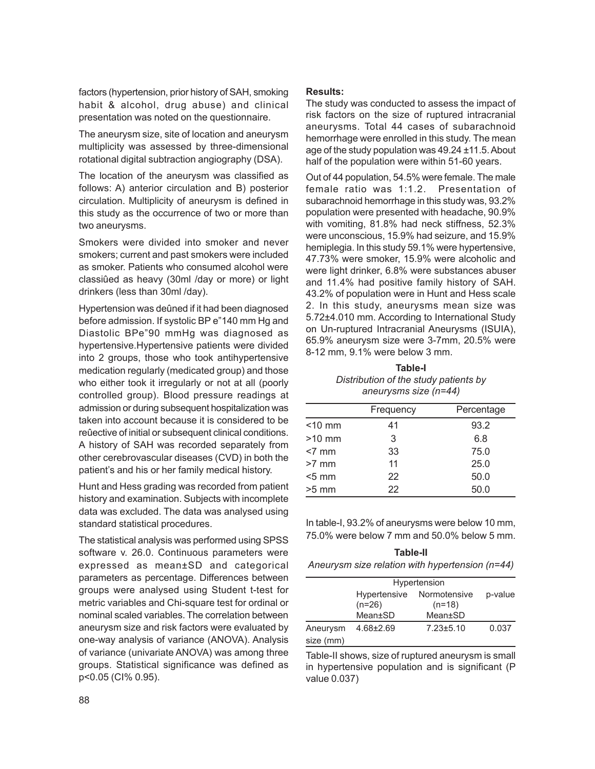factors (hypertension, prior history of SAH, smoking habit & alcohol, drug abuse) and clinical presentation was noted on the questionnaire.

The aneurysm size, site of location and aneurysm multiplicity was assessed by three-dimensional rotational digital subtraction angiography (DSA).

The location of the aneurysm was classified as follows: A) anterior circulation and B) posterior circulation. Multiplicity of aneurysm is defined in this study as the occurrence of two or more than two aneurysms.

Smokers were divided into smoker and never smokers; current and past smokers were included as smoker. Patients who consumed alcohol were classiûed as heavy (30ml /day or more) or light drinkers (less than 30ml /day).

Hypertension was deûned if it had been diagnosed before admission. If systolic BP e"140 mm Hg and Diastolic BPe"90 mmHg was diagnosed as hypertensive.Hypertensive patients were divided into 2 groups, those who took antihypertensive medication regularly (medicated group) and those who either took it irregularly or not at all (poorly controlled group). Blood pressure readings at admission or during subsequent hospitalization was taken into account because it is considered to be reûective of initial or subsequent clinical conditions. A history of SAH was recorded separately from other cerebrovascular diseases (CVD) in both the patient's and his or her family medical history.

Hunt and Hess grading was recorded from patient history and examination. Subjects with incomplete data was excluded. The data was analysed using standard statistical procedures.

The statistical analysis was performed using SPSS software v. 26.0. Continuous parameters were expressed as mean±SD and categorical parameters as percentage. Differences between groups were analysed using Student t-test for metric variables and Chi-square test for ordinal or nominal scaled variables. The correlation between aneurysm size and risk factors were evaluated by one-way analysis of variance (ANOVA). Analysis of variance (univariate ANOVA) was among three groups. Statistical significance was defined as p<0.05 (CI% 0.95).

#### **Results:**

The study was conducted to assess the impact of risk factors on the size of ruptured intracranial aneurysms. Total 44 cases of subarachnoid hemorrhage were enrolled in this study. The mean age of the study population was 49.24 ±11.5. About half of the population were within 51-60 years.

Out of 44 population, 54.5% were female. The male female ratio was 1:1.2. Presentation of subarachnoid hemorrhage in this study was, 93.2% population were presented with headache, 90.9% with vomiting, 81.8% had neck stiffness, 52.3% were unconscious, 15.9% had seizure, and 15.9% hemiplegia. In this study 59.1% were hypertensive, 47.73% were smoker, 15.9% were alcoholic and were light drinker, 6.8% were substances abuser and 11.4% had positive family history of SAH. 43.2% of population were in Hunt and Hess scale 2. In this study, aneurysms mean size was 5.72±4.010 mm. According to International Study on Un-ruptured Intracranial Aneurysms (ISUIA), 65.9% aneurysm size were 3-7mm, 20.5% were 8-12 mm, 9.1% were below 3 mm.

#### **Table-I** *Distribution of the study patients by*

*aneurysms size (n=44)*

|           | Frequency | Percentage |
|-----------|-----------|------------|
| $<$ 10 mm | 41        | 93.2       |
| $>10$ mm  | 3         | 6.8        |
| $< 7$ mm  | 33        | 75.0       |
| $>7$ mm   | 11        | 25.0       |
| $< 5$ mm  | 22        | 50.0       |
| $>5$ mm   | 22        | 50.0       |

In table-I, 93.2% of aneurysms were below 10 mm, 75.0% were below 7 mm and 50.0% below 5 mm.

| Table-II                                        |
|-------------------------------------------------|
| Aneurysm size relation with hypertension (n=44) |

|                       | Hypertension                    |                          |         |
|-----------------------|---------------------------------|--------------------------|---------|
|                       | <b>Hypertensive</b><br>$(n=26)$ | Normotensive<br>$(n=18)$ | p-value |
|                       | Mean±SD                         | Mean±SD                  |         |
| Aneurysm<br>size (mm) | $4.68 \pm 2.69$                 | $7.23 \pm 5.10$          | 0.037   |

Table-II shows, size of ruptured aneurysm is small in hypertensive population and is significant (P value 0.037)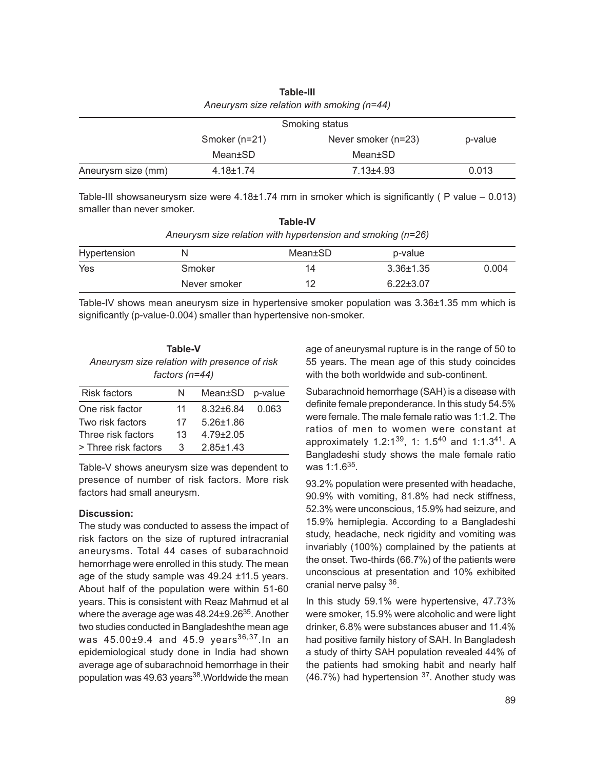| Aneurysm size relation with smoking (n=44) |                 |                     |         |
|--------------------------------------------|-----------------|---------------------|---------|
|                                            | Smoking status  |                     |         |
|                                            | Smoker (n=21)   | Never smoker (n=23) | p-value |
|                                            | Mean±SD         | Mean±SD             |         |
| Aneurysm size (mm)                         | $4.18 \pm 1.74$ | $7.13 + 4.93$       | 0.013   |

**Table-III**

Table-III showsaneurysm size were  $4.18\pm1.74$  mm in smoker which is significantly (P value  $-0.013$ ) smaller than never smoker.

| <b>Table-IV</b>                                             |  |
|-------------------------------------------------------------|--|
| Aneurysm size relation with hypertension and smoking (n=26) |  |

| Hypertension | N            | Mean±SD | p-value         |       |
|--------------|--------------|---------|-----------------|-------|
| Yes          | Smoker       | 14      | $3.36 \pm 1.35$ | 0.004 |
|              | Never smoker | 10      | $6.22 \pm 3.07$ |       |

Table-IV shows mean aneurysm size in hypertensive smoker population was 3.36±1.35 mm which is significantly (p-value-0.004) smaller than hypertensive non-smoker.

| Table-V                                      |
|----------------------------------------------|
| Aneurysm size relation with presence of risk |
| factors ( $n=44$ )                           |

| <b>Risk factors</b>  | N  | Mean±SD p-value |       |
|----------------------|----|-----------------|-------|
| One risk factor      | 11 | $8.32 + 6.84$   | 0.063 |
| Two risk factors     | 17 | $5.26 + 1.86$   |       |
| Three risk factors   | 13 | $4.79 + 2.05$   |       |
| > Three risk factors | 3  | $2.85 + 1.43$   |       |
|                      |    |                 |       |

Table-V shows aneurysm size was dependent to presence of number of risk factors. More risk factors had small aneurysm.

#### **Discussion:**

The study was conducted to assess the impact of risk factors on the size of ruptured intracranial aneurysms. Total 44 cases of subarachnoid hemorrhage were enrolled in this study. The mean age of the study sample was 49.24 ±11.5 years. About half of the population were within 51-60 years. This is consistent with Reaz Mahmud et al where the average age was 48.24±9.26<sup>35</sup>. Another two studies conducted in Bangladeshthe mean age was  $45.00\pm9.4$  and  $45.9$  years<sup>36,37</sup>. In an epidemiological study done in India had shown average age of subarachnoid hemorrhage in their population was 49.63 years $38$ . Worldwide the mean age of aneurysmal rupture is in the range of 50 to 55 years. The mean age of this study coincides with the both worldwide and sub-continent.

Subarachnoid hemorrhage (SAH) is a disease with definite female preponderance. In this study 54.5% were female. The male female ratio was 1:1.2. The ratios of men to women were constant at approximately 1.2:1<sup>39</sup>, 1: 1.5<sup>40</sup> and 1:1.3<sup>41</sup>. A Bangladeshi study shows the male female ratio was 1:1.6<sup>35</sup>.

93.2% population were presented with headache, 90.9% with vomiting, 81.8% had neck stiffness, 52.3% were unconscious, 15.9% had seizure, and 15.9% hemiplegia. According to a Bangladeshi study, headache, neck rigidity and vomiting was invariably (100%) complained by the patients at the onset. Two-thirds (66.7%) of the patients were unconscious at presentation and 10% exhibited cranial nerve palsy <sup>36</sup>.

In this study 59.1% were hypertensive, 47.73% were smoker, 15.9% were alcoholic and were light drinker, 6.8% were substances abuser and 11.4% had positive family history of SAH. In Bangladesh a study of thirty SAH population revealed 44% of the patients had smoking habit and nearly half (46.7%) had hypertension <sup>37</sup>. Another study was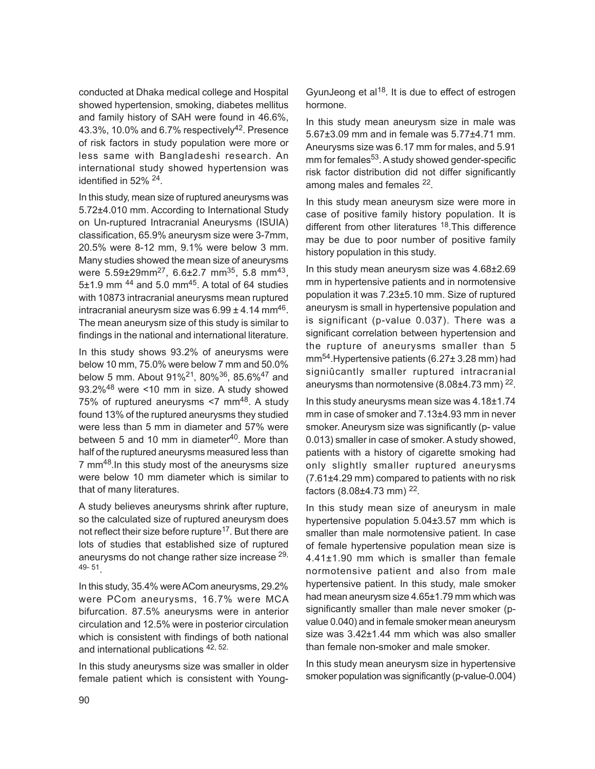conducted at Dhaka medical college and Hospital showed hypertension, smoking, diabetes mellitus and family history of SAH were found in 46.6%, 43.3%, 10.0% and 6.7% respectivel $\sqrt{4^2}$ . Presence of risk factors in study population were more or less same with Bangladeshi research. An international study showed hypertension was identified in 52% <sup>24</sup>.

In this study, mean size of ruptured aneurysms was 5.72±4.010 mm. According to International Study on Un-ruptured Intracranial Aneurysms (ISUIA) classification, 65.9% aneurysm size were 3-7mm, 20.5% were 8-12 mm, 9.1% were below 3 mm. Many studies showed the mean size of aneurysms were 5.59±29mm<sup>27</sup>, 6.6±2.7 mm<sup>35</sup>, 5.8 mm<sup>43</sup>, 5 $\pm$ 1.9 mm  $^{44}$  and 5.0 mm<sup>45</sup>. A total of 64 studies with 10873 intracranial aneurysms mean ruptured intracranial aneurysm size was  $6.99 \pm 4.14$  mm $^{46}$ . The mean aneurysm size of this study is similar to findings in the national and international literature.

In this study shows 93.2% of aneurysms were below 10 mm, 75.0% were below 7 mm and 50.0% below 5 mm. About 91%21, 80%36, 85.6%47 and 93.2%48 were <10 mm in size. A study showed 75% of ruptured aneurysms <7 mm<sup>48</sup>. A study found 13% of the ruptured aneurysms they studied were less than 5 mm in diameter and 57% were between 5 and 10 mm in diameter<sup>40</sup>. More than half of the ruptured aneurysms measured less than 7 mm<sup>48</sup>. In this study most of the aneurysms size were below 10 mm diameter which is similar to that of many literatures.

A study believes aneurysms shrink after rupture, so the calculated size of ruptured aneurysm does not reflect their size before rupture<sup>17</sup>. But there are lots of studies that established size of ruptured aneurysms do not change rather size increase 29, 49- 51 .

In this study, 35.4% were ACom aneurysms, 29.2% were PCom aneurysms, 16.7% were MCA bifurcation. 87.5% aneurysms were in anterior circulation and 12.5% were in posterior circulation which is consistent with findings of both national and international publications 42, 52.

In this study aneurysms size was smaller in older female patient which is consistent with YoungGyunJeong et al<sup>18</sup>. It is due to effect of estrogen hormone.

In this study mean aneurysm size in male was 5.67±3.09 mm and in female was 5.77±4.71 mm. Aneurysms size was 6.17 mm for males, and 5.91 mm for females<sup>53</sup>. A study showed gender-specific risk factor distribution did not differ significantly among males and females <sup>22</sup>.

In this study mean aneurysm size were more in case of positive family history population. It is different from other literatures <sup>18</sup>. This difference may be due to poor number of positive family history population in this study.

In this study mean aneurysm size was 4.68±2.69 mm in hypertensive patients and in normotensive population it was 7.23±5.10 mm. Size of ruptured aneurysm is small in hypertensive population and is significant (p-value 0.037). There was a significant correlation between hypertension and the rupture of aneurysms smaller than 5 mm54.Hypertensive patients (6.27± 3.28 mm) had signiûcantly smaller ruptured intracranial aneurysms than normotensive  $(8.08\pm4.73$  mm $)^{22}$ .

In this study aneurysms mean size was 4.18±1.74 mm in case of smoker and 7.13±4.93 mm in never smoker. Aneurysm size was significantly (p- value 0.013) smaller in case of smoker. A study showed, patients with a history of cigarette smoking had only slightly smaller ruptured aneurysms (7.61±4.29 mm) compared to patients with no risk factors (8.08±4.73 mm) 22.

In this study mean size of aneurysm in male hypertensive population 5.04±3.57 mm which is smaller than male normotensive patient. In case of female hypertensive population mean size is 4.41±1.90 mm which is smaller than female normotensive patient and also from male hypertensive patient. In this study, male smoker had mean aneurysm size 4.65±1.79 mm which was significantly smaller than male never smoker (pvalue 0.040) and in female smoker mean aneurysm size was 3.42±1.44 mm which was also smaller than female non-smoker and male smoker.

In this study mean aneurysm size in hypertensive smoker population was significantly (p-value-0.004)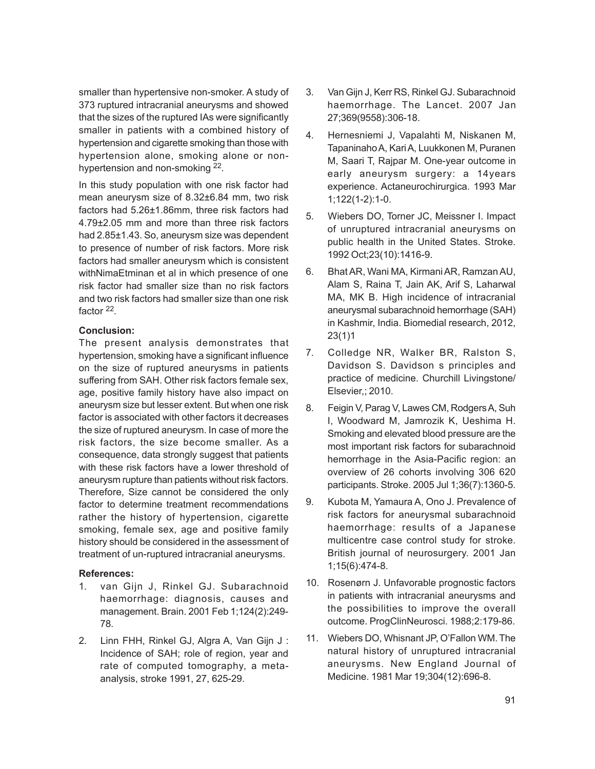smaller than hypertensive non-smoker. A study of 373 ruptured intracranial aneurysms and showed that the sizes of the ruptured IAs were significantly smaller in patients with a combined history of hypertension and cigarette smoking than those with hypertension alone, smoking alone or nonhypertension and non-smoking <sup>22</sup>.

In this study population with one risk factor had mean aneurysm size of 8.32±6.84 mm, two risk factors had 5.26±1.86mm, three risk factors had 4.79±2.05 mm and more than three risk factors had 2.85±1.43. So, aneurysm size was dependent to presence of number of risk factors. More risk factors had smaller aneurysm which is consistent withNimaEtminan et al in which presence of one risk factor had smaller size than no risk factors and two risk factors had smaller size than one risk factor <sup>22</sup>.

### **Conclusion:**

The present analysis demonstrates that hypertension, smoking have a significant influence on the size of ruptured aneurysms in patients suffering from SAH. Other risk factors female sex, age, positive family history have also impact on aneurysm size but lesser extent. But when one risk factor is associated with other factors it decreases the size of ruptured aneurysm. In case of more the risk factors, the size become smaller. As a consequence, data strongly suggest that patients with these risk factors have a lower threshold of aneurysm rupture than patients without risk factors. Therefore, Size cannot be considered the only factor to determine treatment recommendations rather the history of hypertension, cigarette smoking, female sex, age and positive family history should be considered in the assessment of treatment of un-ruptured intracranial aneurysms.

## **References:**

- 1. van Gijn J, Rinkel GJ. Subarachnoid haemorrhage: diagnosis, causes and management. Brain. 2001 Feb 1;124(2):249- 78.
- 2. Linn FHH, Rinkel GJ, Algra A, Van Gijn J : Incidence of SAH; role of region, year and rate of computed tomography, a metaanalysis, stroke 1991, 27, 625-29.
- 3. Van Gijn J, Kerr RS, Rinkel GJ. Subarachnoid haemorrhage. The Lancet. 2007 Jan 27;369(9558):306-18.
- 4. Hernesniemi J, Vapalahti M, Niskanen M, Tapaninaho A, Kari A, Luukkonen M, Puranen M, Saari T, Rajpar M. One-year outcome in early aneurysm surgery: a 14years experience. Actaneurochirurgica. 1993 Mar 1;122(1-2):1-0.
- 5. Wiebers DO, Torner JC, Meissner I. Impact of unruptured intracranial aneurysms on public health in the United States. Stroke. 1992 Oct;23(10):1416-9.
- 6. Bhat AR, Wani MA, Kirmani AR, Ramzan AU, Alam S, Raina T, Jain AK, Arif S, Laharwal MA, MK B. High incidence of intracranial aneurysmal subarachnoid hemorrhage (SAH) in Kashmir, India. Biomedial research, 2012, 23(1)1
- 7. Colledge NR, Walker BR, Ralston S, Davidson S. Davidson s principles and practice of medicine. Churchill Livingstone/ Elsevier,; 2010.
- 8. Feigin V, Parag V, Lawes CM, Rodgers A, Suh I, Woodward M, Jamrozik K, Ueshima H. Smoking and elevated blood pressure are the most important risk factors for subarachnoid hemorrhage in the Asia-Pacific region: an overview of 26 cohorts involving 306 620 participants. Stroke. 2005 Jul 1;36(7):1360-5.
- 9. Kubota M, Yamaura A, Ono J. Prevalence of risk factors for aneurysmal subarachnoid haemorrhage: results of a Japanese multicentre case control study for stroke. British journal of neurosurgery. 2001 Jan 1;15(6):474-8.
- 10. Rosenørn J. Unfavorable prognostic factors in patients with intracranial aneurysms and the possibilities to improve the overall outcome. ProgClinNeurosci. 1988;2:179-86.
- 11. Wiebers DO, Whisnant JP, O'Fallon WM. The natural history of unruptured intracranial aneurysms. New England Journal of Medicine. 1981 Mar 19;304(12):696-8.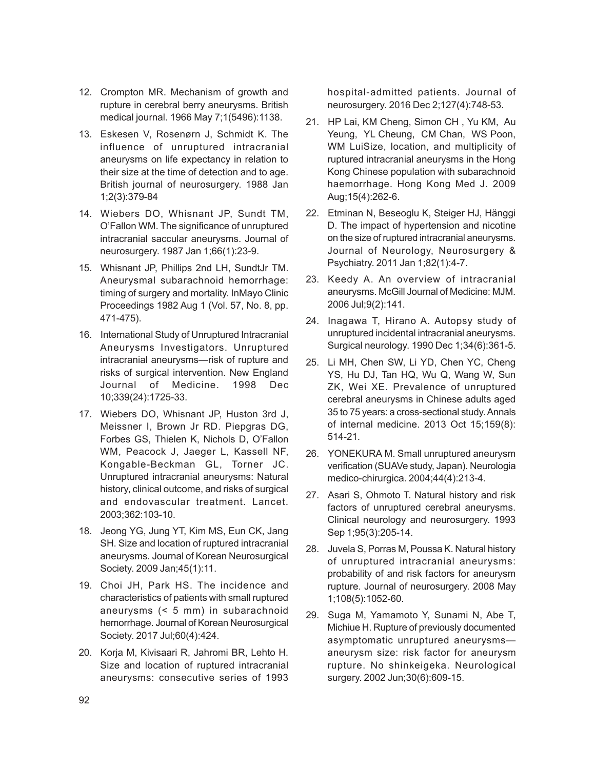- 12. Crompton MR. Mechanism of growth and rupture in cerebral berry aneurysms. British medical journal. 1966 May 7;1(5496):1138.
- 13. Eskesen V, Rosenørn J, Schmidt K. The influence of unruptured intracranial aneurysms on life expectancy in relation to their size at the time of detection and to age. British journal of neurosurgery. 1988 Jan 1;2(3):379-84
- 14. Wiebers DO, Whisnant JP, Sundt TM, O'Fallon WM. The significance of unruptured intracranial saccular aneurysms. Journal of neurosurgery. 1987 Jan 1;66(1):23-9.
- 15. Whisnant JP, Phillips 2nd LH, SundtJr TM. Aneurysmal subarachnoid hemorrhage: timing of surgery and mortality. InMayo Clinic Proceedings 1982 Aug 1 (Vol. 57, No. 8, pp. 471-475).
- 16. International Study of Unruptured Intracranial Aneurysms Investigators. Unruptured intracranial aneurysms—risk of rupture and risks of surgical intervention. New England Journal of Medicine. 1998 Dec 10;339(24):1725-33.
- 17. Wiebers DO, Whisnant JP, Huston 3rd J, Meissner I, Brown Jr RD. Piepgras DG, Forbes GS, Thielen K, Nichols D, O'Fallon WM, Peacock J, Jaeger L, Kassell NF, Kongable-Beckman GL, Torner JC. Unruptured intracranial aneurysms: Natural history, clinical outcome, and risks of surgical and endovascular treatment. Lancet. 2003;362:103-10.
- 18. Jeong YG, Jung YT, Kim MS, Eun CK, Jang SH. Size and location of ruptured intracranial aneurysms. Journal of Korean Neurosurgical Society. 2009 Jan;45(1):11.
- 19. Choi JH, Park HS. The incidence and characteristics of patients with small ruptured aneurysms (< 5 mm) in subarachnoid hemorrhage. Journal of Korean Neurosurgical Society. 2017 Jul;60(4):424.
- 20. Korja M, Kivisaari R, Jahromi BR, Lehto H. Size and location of ruptured intracranial aneurysms: consecutive series of 1993

hospital-admitted patients. Journal of neurosurgery. 2016 Dec 2;127(4):748-53.

- 21. HP Lai, KM Cheng, Simon CH , Yu KM, Au Yeung, YL Cheung, CM Chan, WS Poon, WM LuiSize, location, and multiplicity of ruptured intracranial aneurysms in the Hong Kong Chinese population with subarachnoid haemorrhage. Hong Kong Med J. 2009 Aug;15(4):262-6.
- 22. Etminan N, Beseoglu K, Steiger HJ, Hänggi D. The impact of hypertension and nicotine on the size of ruptured intracranial aneurysms. Journal of Neurology, Neurosurgery & Psychiatry. 2011 Jan 1;82(1):4-7.
- 23. Keedy A. An overview of intracranial aneurysms. McGill Journal of Medicine: MJM. 2006 Jul;9(2):141.
- 24. Inagawa T, Hirano A. Autopsy study of unruptured incidental intracranial aneurysms. Surgical neurology. 1990 Dec 1;34(6):361-5.
- 25. Li MH, Chen SW, Li YD, Chen YC, Cheng YS, Hu DJ, Tan HQ, Wu Q, Wang W, Sun ZK, Wei XE. Prevalence of unruptured cerebral aneurysms in Chinese adults aged 35 to 75 years: a cross-sectional study. Annals of internal medicine. 2013 Oct 15;159(8): 514-21.
- 26. YONEKURA M. Small unruptured aneurysm verification (SUAVe study, Japan). Neurologia medico-chirurgica. 2004;44(4):213-4.
- 27. Asari S, Ohmoto T. Natural history and risk factors of unruptured cerebral aneurysms. Clinical neurology and neurosurgery. 1993 Sep 1;95(3):205-14.
- 28. Juvela S, Porras M, Poussa K. Natural history of unruptured intracranial aneurysms: probability of and risk factors for aneurysm rupture. Journal of neurosurgery. 2008 May 1;108(5):1052-60.
- 29. Suga M, Yamamoto Y, Sunami N, Abe T, Michiue H. Rupture of previously documented asymptomatic unruptured aneurysms aneurysm size: risk factor for aneurysm rupture. No shinkeigeka. Neurological surgery. 2002 Jun;30(6):609-15.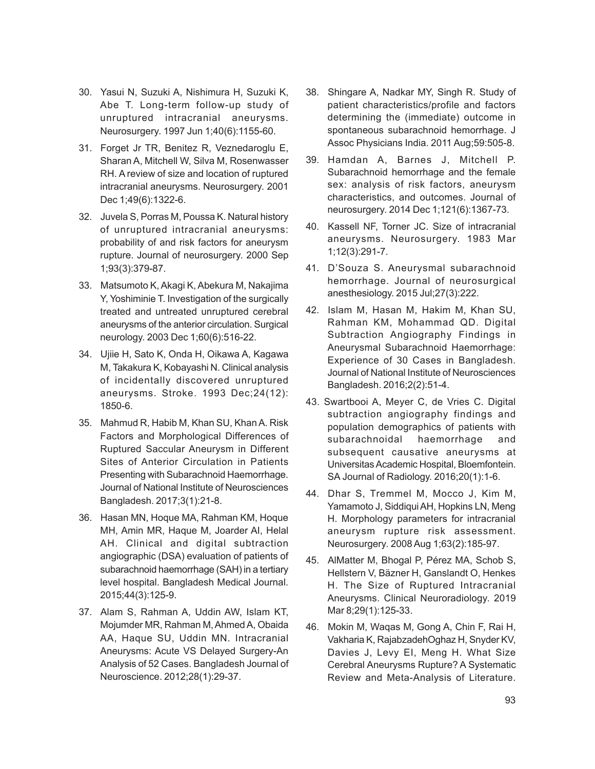- 30. Yasui N, Suzuki A, Nishimura H, Suzuki K, Abe T. Long-term follow-up study of unruptured intracranial aneurysms. Neurosurgery. 1997 Jun 1;40(6):1155-60.
- 31. Forget Jr TR, Benitez R, Veznedaroglu E, Sharan A, Mitchell W, Silva M, Rosenwasser RH. A review of size and location of ruptured intracranial aneurysms. Neurosurgery. 2001 Dec 1;49(6):1322-6.
- 32. Juvela S, Porras M, Poussa K. Natural history of unruptured intracranial aneurysms: probability of and risk factors for aneurysm rupture. Journal of neurosurgery. 2000 Sep 1;93(3):379-87.
- 33. Matsumoto K, Akagi K, Abekura M, Nakajima Y, Yoshiminie T. Investigation of the surgically treated and untreated unruptured cerebral aneurysms of the anterior circulation. Surgical neurology. 2003 Dec 1;60(6):516-22.
- 34. Ujiie H, Sato K, Onda H, Oikawa A, Kagawa M, Takakura K, Kobayashi N. Clinical analysis of incidentally discovered unruptured aneurysms. Stroke. 1993 Dec;24(12): 1850-6.
- 35. Mahmud R, Habib M, Khan SU, Khan A. Risk Factors and Morphological Differences of Ruptured Saccular Aneurysm in Different Sites of Anterior Circulation in Patients Presenting with Subarachnoid Haemorrhage. Journal of National Institute of Neurosciences Bangladesh. 2017;3(1):21-8.
- 36. Hasan MN, Hoque MA, Rahman KM, Hoque MH, Amin MR, Haque M, Joarder AI, Helal AH. Clinical and digital subtraction angiographic (DSA) evaluation of patients of subarachnoid haemorrhage (SAH) in a tertiary level hospital. Bangladesh Medical Journal. 2015;44(3):125-9.
- 37. Alam S, Rahman A, Uddin AW, Islam KT, Mojumder MR, Rahman M, Ahmed A, Obaida AA, Haque SU, Uddin MN. Intracranial Aneurysms: Acute VS Delayed Surgery-An Analysis of 52 Cases. Bangladesh Journal of Neuroscience. 2012;28(1):29-37.
- 38. Shingare A, Nadkar MY, Singh R. Study of patient characteristics/profile and factors determining the (immediate) outcome in spontaneous subarachnoid hemorrhage. J Assoc Physicians India. 2011 Aug;59:505-8.
- 39. Hamdan A, Barnes J, Mitchell P. Subarachnoid hemorrhage and the female sex: analysis of risk factors, aneurysm characteristics, and outcomes. Journal of neurosurgery. 2014 Dec 1;121(6):1367-73.
- 40. Kassell NF, Torner JC. Size of intracranial aneurysms. Neurosurgery. 1983 Mar 1;12(3):291-7.
- 41. D'Souza S. Aneurysmal subarachnoid hemorrhage. Journal of neurosurgical anesthesiology. 2015 Jul;27(3):222.
- 42. Islam M, Hasan M, Hakim M, Khan SU, Rahman KM, Mohammad QD. Digital Subtraction Angiography Findings in Aneurysmal Subarachnoid Haemorrhage: Experience of 30 Cases in Bangladesh. Journal of National Institute of Neurosciences Bangladesh. 2016;2(2):51-4.
- 43. Swartbooi A, Meyer C, de Vries C. Digital subtraction angiography findings and population demographics of patients with subarachnoidal haemorrhage and subsequent causative aneurysms at Universitas Academic Hospital, Bloemfontein. SA Journal of Radiology. 2016;20(1):1-6.
- 44. Dhar S, Tremmel M, Mocco J, Kim M, Yamamoto J, Siddiqui AH, Hopkins LN, Meng H. Morphology parameters for intracranial aneurysm rupture risk assessment. Neurosurgery. 2008 Aug 1;63(2):185-97.
- 45. AlMatter M, Bhogal P, Pérez MA, Schob S, Hellstern V, Bäzner H, Ganslandt O, Henkes H. The Size of Ruptured Intracranial Aneurysms. Clinical Neuroradiology. 2019 Mar 8;29(1):125-33.
- 46. Mokin M, Waqas M, Gong A, Chin F, Rai H, Vakharia K, RajabzadehOghaz H, Snyder KV, Davies J, Levy EI, Meng H. What Size Cerebral Aneurysms Rupture? A Systematic Review and Meta-Analysis of Literature.